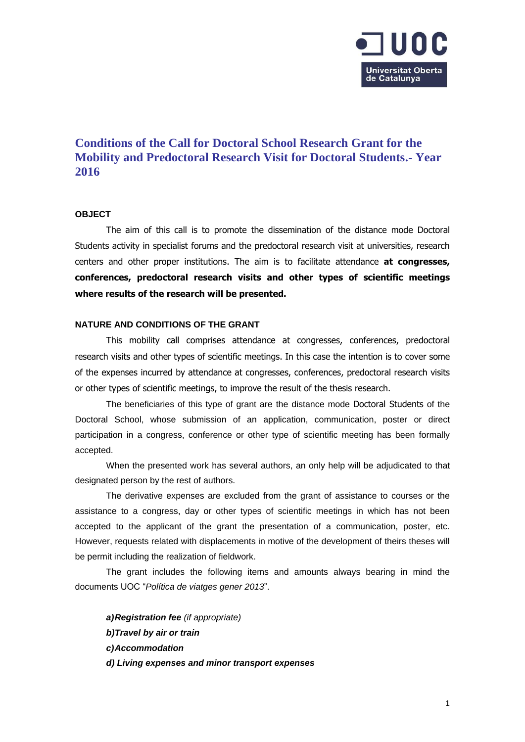

# **Conditions of the Call for Doctoral School Research Grant for the Mobility and Predoctoral Research Visit for Doctoral Students.- Year 2016**

#### **OBJECT**

The aim of this call is to promote the dissemination of the distance mode Doctoral Students activity in specialist forums and the predoctoral research visit at universities, research centers and other proper institutions. The aim is to facilitate attendance **at congresses, conferences, predoctoral research visits and other types of scientific meetings where results of the research will be presented.**

#### **NATURE AND CONDITIONS OF THE GRANT**

This mobility call comprises attendance at congresses, conferences, predoctoral research visits and other types of scientific meetings. In this case the intention is to cover some of the expenses incurred by attendance at congresses, conferences, predoctoral research visits or other types of scientific meetings, to improve the result of the thesis research.

The beneficiaries of this type of grant are the distance mode Doctoral Students of the Doctoral School, whose submission of an application, communication, poster or direct participation in a congress, conference or other type of scientific meeting has been formally accepted.

When the presented work has several authors, an only help will be adjudicated to that designated person by the rest of authors.

The derivative expenses are excluded from the grant of assistance to courses or the assistance to a congress, day or other types of scientific meetings in which has not been accepted to the applicant of the grant the presentation of a communication, poster, etc. However, requests related with displacements in motive of the development of theirs theses will be permit including the realization of fieldwork.

The grant includes the following items and amounts always bearing in mind the documents UOC "*Política de viatges gener 2013*".

*a)Registration fee (if appropriate) b)Travel by air or train c)Accommodation d) Living expenses and minor transport expenses*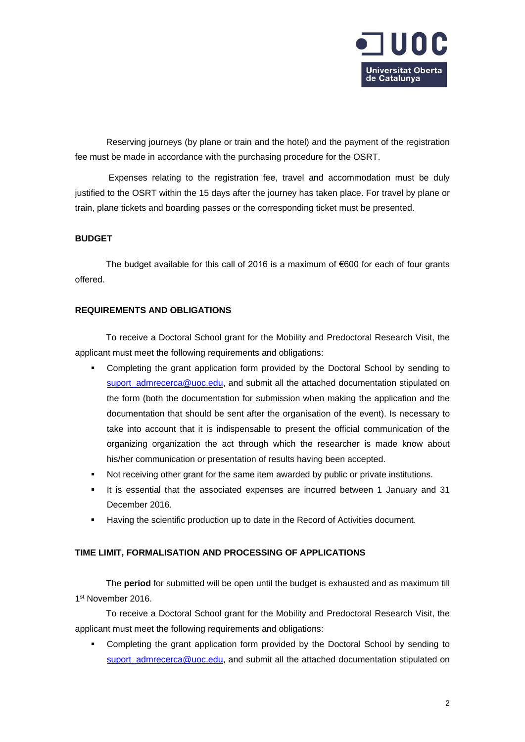

Reserving journeys (by plane or train and the hotel) and the payment of the registration fee must be made in accordance with the purchasing procedure for the OSRT.

Expenses relating to the registration fee, travel and accommodation must be duly justified to the OSRT within the 15 days after the journey has taken place. For travel by plane or train, plane tickets and boarding passes or the corresponding ticket must be presented.

## **BUDGET**

The budget available for this call of 2016 is a maximum of  $\epsilon$ 600 for each of four grants offered.

#### **REQUIREMENTS AND OBLIGATIONS**

To receive a Doctoral School grant for the Mobility and Predoctoral Research Visit, the applicant must meet the following requirements and obligations:

- Completing the grant application form provided by the Doctoral School by sending to [suport\\_admrecerca@uoc.edu,](mailto:suport_admrecerca@uoc.edu) and submit all the attached documentation stipulated on the form (both the documentation for submission when making the application and the documentation that should be sent after the organisation of the event). Is necessary to take into account that it is indispensable to present the official communication of the organizing organization the act through which the researcher is made know about his/her communication or presentation of results having been accepted.
- Not receiving other grant for the same item awarded by public or private institutions.
- It is essential that the associated expenses are incurred between 1 January and 31 December 2016.
- Having the scientific production up to date in the Record of Activities document.

## **TIME LIMIT, FORMALISATION AND PROCESSING OF APPLICATIONS**

The **period** for submitted will be open until the budget is exhausted and as maximum till 1 st November 2016.

To receive a Doctoral School grant for the Mobility and Predoctoral Research Visit, the applicant must meet the following requirements and obligations:

 Completing the grant application form provided by the Doctoral School by sending to [suport\\_admrecerca@uoc.edu,](mailto:suport_admrecerca@uoc.edu) and submit all the attached documentation stipulated on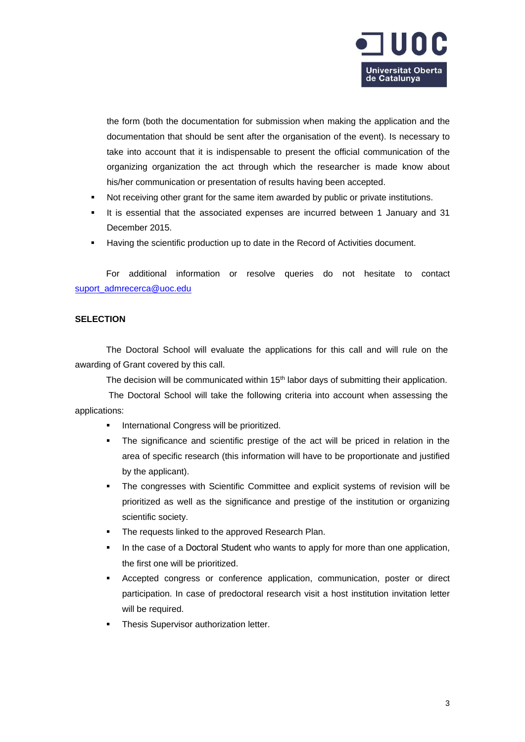

the form (both the documentation for submission when making the application and the documentation that should be sent after the organisation of the event). Is necessary to take into account that it is indispensable to present the official communication of the organizing organization the act through which the researcher is made know about his/her communication or presentation of results having been accepted.

- Not receiving other grant for the same item awarded by public or private institutions.
- It is essential that the associated expenses are incurred between 1 January and 31 December 2015.
- Having the scientific production up to date in the Record of Activities document.

For additional information or resolve queries do not hesitate to contact [suport\\_admrecerca@uoc.edu](mailto:suport_admrecerca@uoc.edu)

## **SELECTION**

The Doctoral School will evaluate the applications for this call and will rule on the awarding of Grant covered by this call.

The decision will be communicated within 15<sup>th</sup> labor days of submitting their application.

The Doctoral School will take the following criteria into account when assessing the applications:

- International Congress will be prioritized.
- The significance and scientific prestige of the act will be priced in relation in the area of specific research (this information will have to be proportionate and justified by the applicant).
- The congresses with Scientific Committee and explicit systems of revision will be prioritized as well as the significance and prestige of the institution or organizing scientific society.
- The requests linked to the approved Research Plan.
- In the case of a Doctoral Student who wants to apply for more than one application, the first one will be prioritized.
- Accepted congress or conference application, communication, poster or direct participation. In case of predoctoral research visit a host institution invitation letter will be required.
- Thesis Supervisor authorization letter.